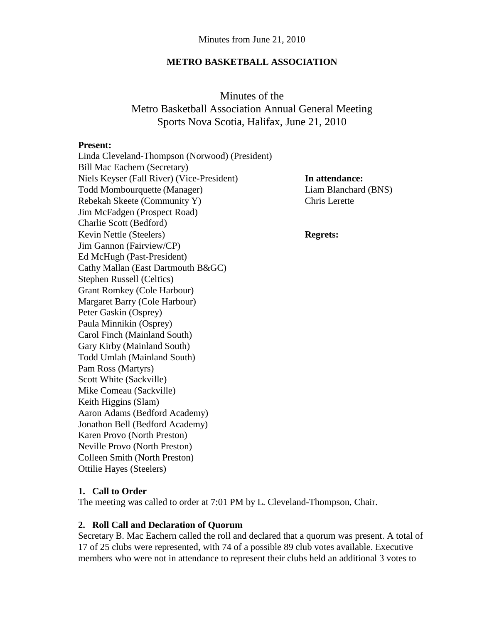#### **METRO BASKETBALL ASSOCIATION**

Minutes of the Metro Basketball Association Annual General Meeting Sports Nova Scotia, Halifax, June 21, 2010

#### **Present:**

Linda Cleveland-Thompson (Norwood) (President) Bill Mac Eachern (Secretary) Niels Keyser (Fall River) (Vice-President) **In attendance:** Todd Mombourquette (Manager) Liam Blanchard (BNS) Rebekah Skeete (Community Y) Chris Lerette Jim McFadgen (Prospect Road) Charlie Scott (Bedford) Kevin Nettle (Steelers) **Regrets:** Jim Gannon (Fairview/CP) Ed McHugh (Past-President) Cathy Mallan (East Dartmouth B&GC) Stephen Russell (Celtics) Grant Romkey (Cole Harbour) Margaret Barry (Cole Harbour) Peter Gaskin (Osprey) Paula Minnikin (Osprey) Carol Finch (Mainland South) Gary Kirby (Mainland South) Todd Umlah (Mainland South) Pam Ross (Martyrs) Scott White (Sackville) Mike Comeau (Sackville) Keith Higgins (Slam) Aaron Adams (Bedford Academy) Jonathon Bell (Bedford Academy) Karen Provo (North Preston) Neville Provo (North Preston) Colleen Smith (North Preston) Ottilie Hayes (Steelers)

## **1. Call to Order**

The meeting was called to order at 7:01 PM by L. Cleveland-Thompson, Chair.

#### **2. Roll Call and Declaration of Quorum**

Secretary B. Mac Eachern called the roll and declared that a quorum was present. A total of 17 of 25 clubs were represented, with 74 of a possible 89 club votes available. Executive members who were not in attendance to represent their clubs held an additional 3 votes to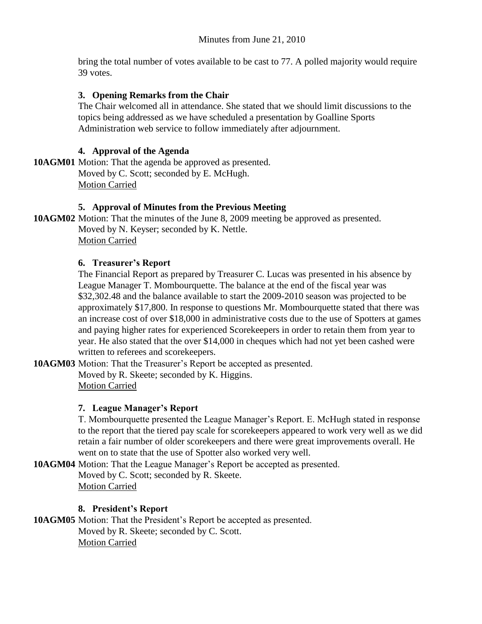bring the total number of votes available to be cast to 77. A polled majority would require 39 votes.

# **3. Opening Remarks from the Chair**

The Chair welcomed all in attendance. She stated that we should limit discussions to the topics being addressed as we have scheduled a presentation by Goalline Sports Administration web service to follow immediately after adjournment.

# **4. Approval of the Agenda**

**10AGM01** Motion: That the agenda be approved as presented. Moved by C. Scott; seconded by E. McHugh. Motion Carried

## **5. Approval of Minutes from the Previous Meeting**

**10AGM02** Motion: That the minutes of the June 8, 2009 meeting be approved as presented. Moved by N. Keyser; seconded by K. Nettle. Motion Carried

## **6. Treasurer's Report**

The Financial Report as prepared by Treasurer C. Lucas was presented in his absence by League Manager T. Mombourquette. The balance at the end of the fiscal year was \$32,302.48 and the balance available to start the 2009-2010 season was projected to be approximately \$17,800. In response to questions Mr. Mombourquette stated that there was an increase cost of over \$18,000 in administrative costs due to the use of Spotters at games and paying higher rates for experienced Scorekeepers in order to retain them from year to year. He also stated that the over \$14,000 in cheques which had not yet been cashed were written to referees and scorekeepers.

**10AGM03** Motion: That the Treasurer's Report be accepted as presented.

Moved by R. Skeete; seconded by K. Higgins. Motion Carried

# **7. League Manager's Report**

T. Mombourquette presented the League Manager's Report. E. McHugh stated in response to the report that the tiered pay scale for scorekeepers appeared to work very well as we did retain a fair number of older scorekeepers and there were great improvements overall. He went on to state that the use of Spotter also worked very well.

**10AGM04** Motion: That the League Manager's Report be accepted as presented. Moved by C. Scott; seconded by R. Skeete. Motion Carried

# **8. President's Report**

**10AGM05** Motion: That the President's Report be accepted as presented. Moved by R. Skeete; seconded by C. Scott. Motion Carried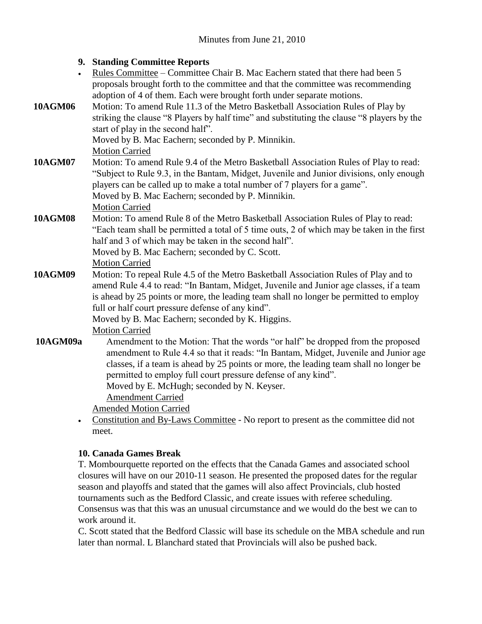# **9. Standing Committee Reports** Rules Committee – Committee Chair B. Mac Eachern stated that there had been 5 proposals brought forth to the committee and that the committee was recommending adoption of 4 of them. Each were brought forth under separate motions. **10AGM06** Motion: To amend Rule 11.3 of the Metro Basketball Association Rules of Play by striking the clause "8 Players by half time" and substituting the clause "8 players by the start of play in the second half". Moved by B. Mac Eachern; seconded by P. Minnikin. Motion Carried **10AGM07** Motion: To amend Rule 9.4 of the Metro Basketball Association Rules of Play to read: "Subject to Rule 9.3, in the Bantam, Midget, Juvenile and Junior divisions, only enough players can be called up to make a total number of 7 players for a game". Moved by B. Mac Eachern; seconded by P. Minnikin. Motion Carried **10AGM08** Motion: To amend Rule 8 of the Metro Basketball Association Rules of Play to read: "Each team shall be permitted a total of 5 time outs, 2 of which may be taken in the first half and 3 of which may be taken in the second half". Moved by B. Mac Eachern; seconded by C. Scott. Motion Carried **10AGM09** Motion: To repeal Rule 4.5 of the Metro Basketball Association Rules of Play and to amend Rule 4.4 to read: "In Bantam, Midget, Juvenile and Junior age classes, if a team is ahead by 25 points or more, the leading team shall no longer be permitted to employ full or half court pressure defense of any kind". Moved by B. Mac Eachern; seconded by K. Higgins. Motion Carried **10AGM09a** Amendment to the Motion: That the words "or half" be dropped from the proposed amendment to Rule 4.4 so that it reads: "In Bantam, Midget, Juvenile and Junior age classes, if a team is ahead by 25 points or more, the leading team shall no longer be permitted to employ full court pressure defense of any kind". Moved by E. McHugh; seconded by N. Keyser. Amendment Carried Amended Motion Carried Constitution and By-Laws Committee - No report to present as the committee did not meet.

## **10. Canada Games Break**

T. Mombourquette reported on the effects that the Canada Games and associated school closures will have on our 2010-11 season. He presented the proposed dates for the regular season and playoffs and stated that the games will also affect Provincials, club hosted tournaments such as the Bedford Classic, and create issues with referee scheduling. Consensus was that this was an unusual circumstance and we would do the best we can to work around it.

C. Scott stated that the Bedford Classic will base its schedule on the MBA schedule and run later than normal. L Blanchard stated that Provincials will also be pushed back.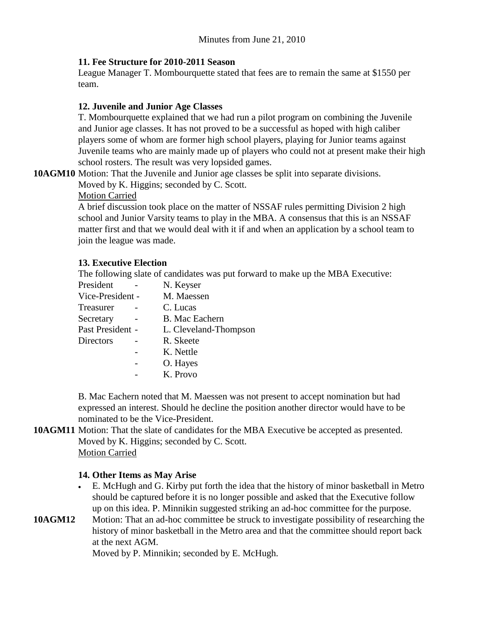### **11. Fee Structure for 2010-2011 Season**

League Manager T. Mombourquette stated that fees are to remain the same at \$1550 per team.

### **12. Juvenile and Junior Age Classes**

T. Mombourquette explained that we had run a pilot program on combining the Juvenile and Junior age classes. It has not proved to be a successful as hoped with high caliber players some of whom are former high school players, playing for Junior teams against Juvenile teams who are mainly made up of players who could not at present make their high school rosters. The result was very lopsided games.

**10AGM10** Motion: That the Juvenile and Junior age classes be split into separate divisions.

Moved by K. Higgins; seconded by C. Scott.

#### Motion Carried

A brief discussion took place on the matter of NSSAF rules permitting Division 2 high school and Junior Varsity teams to play in the MBA. A consensus that this is an NSSAF matter first and that we would deal with it if and when an application by a school team to join the league was made.

#### **13. Executive Election**

The following slate of candidates was put forward to make up the MBA Executive:

| President        | N. Keyser             |
|------------------|-----------------------|
| Vice-President - | M. Maessen            |
| Treasurer        | C. Lucas              |
| Secretary        | <b>B.</b> Mac Eachern |
| Past President - | L. Cleveland-Thompson |
| Directors        | R. Skeete             |
|                  | K. Nettle             |
|                  | O. Hayes              |
|                  | K. Provo              |

B. Mac Eachern noted that M. Maessen was not present to accept nomination but had expressed an interest. Should he decline the position another director would have to be nominated to be the Vice-President.

#### **10AGM11** Motion: That the slate of candidates for the MBA Executive be accepted as presented. Moved by K. Higgins; seconded by C. Scott. Motion Carried

## **14. Other Items as May Arise**

- E. McHugh and G. Kirby put forth the idea that the history of minor basketball in Metro should be captured before it is no longer possible and asked that the Executive follow up on this idea. P. Minnikin suggested striking an ad-hoc committee for the purpose.
- **10AGM12** Motion: That an ad-hoc committee be struck to investigate possibility of researching the history of minor basketball in the Metro area and that the committee should report back at the next AGM.

Moved by P. Minnikin; seconded by E. McHugh.